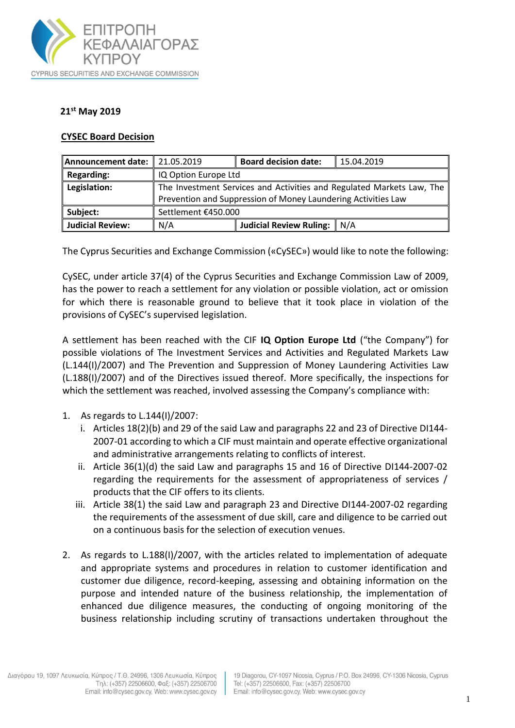

## **21st May 2019**

## **CYSEC Board Decision**

| Announcement date:   21.05.2019 |                                                                       | <b>Board decision date:</b>   | 15.04.2019 |
|---------------------------------|-----------------------------------------------------------------------|-------------------------------|------------|
| Regarding:                      | IQ Option Europe Ltd                                                  |                               |            |
| Legislation:                    | The Investment Services and Activities and Regulated Markets Law, The |                               |            |
|                                 | Prevention and Suppression of Money Laundering Activities Law         |                               |            |
| Subject:                        | Settlement €450.000                                                   |                               |            |
| Judicial Review:                | N/A                                                                   | Judicial Review Ruling:   N/A |            |

The Cyprus Securities and Exchange Commission («CySEC») would like to note the following:

CySEC, under article 37(4) of the Cyprus Securities and Exchange Commission Law of 2009, has the power to reach a settlement for any violation or possible violation, act or omission for which there is reasonable ground to believe that it took place in violation of the provisions of CySEC's supervised legislation.

A settlement has been reached with the CIF **IQ Option Europe Ltd** ("the Company") for possible violations of The Investment Services and Activities and Regulated Markets Law (L.144(Ι)/2007) and The Prevention and Suppression of Money Laundering Activities Law (L.188(I)/2007) and of the Directives issued thereof. More specifically, the inspections for which the settlement was reached, involved assessing the Company's compliance with:

- 1. As regards to L.144(Ι)/2007:
	- i. Articles 18(2)(b) and 29 of the said Law and paragraphs 22 and 23 of Directive DI144- 2007-01 according to which a CIF must maintain and operate effective organizational and administrative arrangements relating to conflicts of interest.
	- ii. Article 36(1)(d) the said Law and paragraphs 15 and 16 of Directive DI144-2007-02 regarding the requirements for the assessment of appropriateness of services / products that the CIF offers to its clients.
	- iii. Article 38(1) the said Law and paragraph 23 and Directive DI144-2007-02 regarding the requirements of the assessment of due skill, care and diligence to be carried out on a continuous basis for the selection of execution venues.
- 2. As regards to L.188(I)/2007, with the articles related to implementation of adequate and appropriate systems and procedures in relation to customer identification and customer due diligence, record-keeping, assessing and obtaining information on the purpose and intended nature of the business relationship, the implementation of enhanced due diligence measures, the conducting of ongoing monitoring of the business relationship including scrutiny of transactions undertaken throughout the